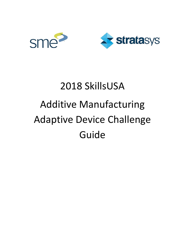



# 2018 SkillsUSA Additive Manufacturing Adaptive Device Challenge Guide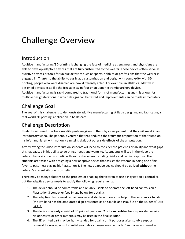## Challenge Overview

### Introduction

Additive manufacturing/3D-printing is changing the face of medicine as engineers and physicians are able to develop adaptive devices that are fully customized to the wearer. These devices often serve as assistive devices or tools for unique activities such as sports, hobbies or professions that the wearer is engaged in. Thanks to the ability to easily add customization and design with complexity with 3D printing, people who were disabled are now differently abled. For example, in athletics, additively designed devices exist like the freestyle swim foot or an upper extremity archery device. Additive manufacturing is rapid compared to traditional forms of manufacturing and this allows for multiple design iterations in which designs can be tested and improvements can be made immediately.

## Challenge Goal

The goal of this challenge is to demonstrate additive manufacturing skills by designing and fabricating a real-world 3D printing application in healthcare.

## Challenge Description

Students will need to solve a real-life problem given to them by a real patient that they will meet in an introductory video. The patient, a veteran that has endured the traumatic amputation of the thumb on his left hand, is left with not only a missing digit but other side effects of the amputation.

After viewing the video introduction students will need to consider the patient's disability and what gaps this has caused in his ability to do things needs and wants to. As students will see in the video the veteran has a silicone prosthetic with some challenges including rigidly and tactile response. The students are tasked with designing a new adaptive device that assists the veteran in doing one of his favorite pastimes: playing his Playstation 3. The new adaptive device should be utilized **without** the veteran's current silicone prosthetic.

There may be many solutions to the problem of enabling the veteran to use a Playstation 3 controller, but the adaptive device needs to satisfy the following requirements:

- 1. The device should be comfortable and reliably usable to operate the left-hand controls on a Playstation 3 controller (see image below for details).
- 2. The adaptive device must remain usable and stable with only the help of the veteran's 2 hands (the left hand has the amputated digit presented as an STL file and PNG file on the students' USB sticks).
- 3. The device may **only** consist of 3D printed parts and **2 optional rubber bands** provided on-site. No adhesives or other materials may be used in the final solution.
- 4. The 3D printed part may be lightly sanded for quality or fit purposes after soluble support removal. However, no substantial geometric changes may be made. Sandpaper and needle-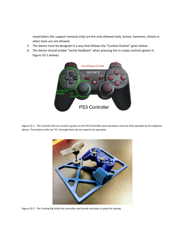nosed pliers (for support removal only) are the only allowed tools; knives, hammers, chisels or other tools are not allowed.

- 5. The device must be designed in a way that follows the "Contest Outline" given below.
- 6. The device should enable "tactile feedback" when pressing the in-scope controls (green in Figure CG-1 below).



Figure CG-1 - The controls that are circled in green on the PS3 Controller pictured above must be fully operable by the adaptive device. The buttons with red "X"s through them do not need to be operated.



Figure CG-2 - The Testing Rig holds the controller and thumb simulator in place for testing.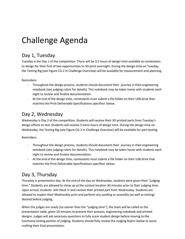## Challenge Agenda

### Day 1, Tuesday

Tuesday is the Day 1 of the competition. There will be 3.5 hours of design time available to contestants to design for their first of two opportunities to 3D print overnight. During the design time on Tuesday, the Testing Rig (see Figure CG-2 in Challenge Overview) will be available for measurement and planning.

Reminders:

- Throughout the design process, students should document their journey in their engineering notebook (see judging rubric for details). This notebook may be taken home with students each night to review and finalize documentation.
- At the end of the design time, contestants must submit a file folder on their USB drive that matches the Print Deliverable Specifications specified below.

### Day 2, Wednesday

Wednesday is Day 2 of the competition. Students will receive their 3D printed parts from Tuesday's design efforts to test. Students will receive 3 more hours of design time. During the design time on Wednesday, the Testing Rig (see Figure CG-2 in Challenge Overview) will be available for part testing.

Reminders:

- Throughout the design process, students should document their journey in their engineering notebook (see judging rubric for details). This notebook may be taken home with students each night to review and finalize documentation.
- At the end of the design time, contestants must submit a file folder on their USB drive that matches the Print Deliverable Specifications specified below.

## Day 3, Thursday

Thursday is presentation day. At the end of the day on Wednesday, students were given their "judging time." Students are allowed to show up at the contest location 30 minutes prior to their judging time. Upon arrival, students will check in and receive their printed part from Wednesday. Students are allowed to inspect their Wednesday print and perform any sanding or assembly (as well as testing) desired before judging.

When the judges are ready (no sooner than the "judging time"), the team will be called to the presentation table, given 10 minutes to present their process, engineering notebook and printed designs. Judges will ask necessary questions to fully score student design before moving to the functional testing portion of judging. Students should fully review the Judging Rubric below to assist crafting their final presentation.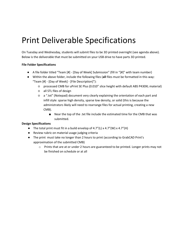## Print Deliverable Specifications

On Tuesday and Wednesday, students will submit files to be 3D printed overnight (see agenda above). Below is the deliverable that must be submitted on your USB drive to have parts 3D printed.

#### **File Folder Specifications**

- A file folder titled "Team [#] [Day of Week] Submission" (fill in "[#]" with team number)
- Within the above folder, include the following files (**all** files must be formatted in this way: "Team [#] - [Day of Week] - [File Description]"):
	- processed CMB for uPrint SE Plus (0.010" slice height with default ABS P430XL material)
	- all STL files of design
	- a ".txt" (Notepad) document very clearly explaining the orientation of each part and infill style: sparse high density, sparse low density, or solid (this is because the administrators likely will need to rearrange files for actual printing, creating a new CMB).
		- Near the top of the .txt file include the estimated time for the CMB that was submitted.

#### **Design Specifications**

- The total print must fit in a build envelop of  $4.7"$ (L) x  $4.7"$ (W) x  $4.7"$ (H)
- Review rubric on material usage judging criteria
- The print must take no longer than 2 hours to print (according to GrabCAD Print's approximation of the submitted CMB)
	- o Prints that are at or under 2 hours are guaranteed to be printed. Longer prints may not be finished on schedule or at all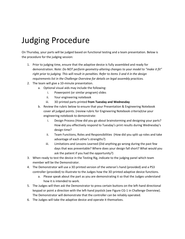## Judging Procedure

On Thursday, your parts will be judged based on functional testing and a team presentation. Below is the procedure for the judging session:

- 1. Prior to judging time, ensure that the adaptive device is fully assembled and ready for demonstration. *Note: Do NOT perform geometry-altering changes to your model to "make it fit" right prior to judging. This will result in penalties. Refer to items 3 and 4 in the design requirements list in the Challenge Overview for details on legal assembly practices.*
- 2. The team will give a 10-minute presentation.
	- a. Optional visual aids may include the following:
		- i. Powerpoint (or similar program) slides
		- ii. Your engineering notebook
		- iii. 3D printed parts printed **from Tuesday and Wednesday**
	- b. Review the rubric below to ensure that your Presentation & Engineering Notebook cover all judged points. (review rubric for Engineering Notebook criteria)Use your engineering notebook to demonstrate:
		- i. Design Process (How did you go about brainstorming and designing your parts? How did you effectively respond to Tuesday's print results during Wednesday's design time?
		- ii. Team Functions, Roles and Responsibilities (How did you split up roles and take advantage of each other's strengths?)
		- iii. Limitations and Lessons Learned (Did anything go wrong during the past few days that was preventable? Where does your design fall short? What would you ask the patient if you had the opportunity?)
- 3. When ready to test the device in the Testing Rig, indicate to the judging panel which team member will be the Demonstrator.
- 4. The Demonstrator will use a 3D printed version of the veteran's hand (provided) and a PS3 controller (provided) to illustrate to the Judges how the 3D printed adaptive device functions.
	- a. Please speak about the part as you are demonstrating it so that the Judges understand how it is intended to work.
- 5. The Judges will then ask the Demonstrator to press certain buttons on the left-hand directional keypad or point a direction with the left-hand joystick (see Figure CG-1 in Challenge Overview). The Demonstrator will demonstrate that the controller can be reliably operated.
- 6. The Judges will take the adaptive device and operate it themselves.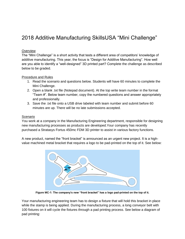## 2018 Additive Manufacturing SkillsUSA "Mini Challenge"

### **Overview**

The "Mini Challenge" is a short activity that tests a different area of competitors' knowledge of additive manufacturing. This year, the focus is "Design for Additive Manufacturing". How well are you able to identify a "well-designed" 3D printed part? Complete the challenge as described below to be graded.

#### Procedure and Rules

- 1. Read the scenario and questions below. Students will have 60 minutes to complete the Mini Challenge.
- 2. Open a blank .txt file (Notepad document). At the top write team number in the format "Team #". Below team number, copy the numbered questions and answer appropriately and professionally.
- 3. Save the .txt file onto a USB drive labeled with team number and submit before 60 minutes are up. There will be no late submissions accepted.

#### Scenario

You work at a company in the Manufacturing Engineering department, responsible for designing new manufacturing processes as products are developed.Your company has recently purchased a Stratasys Fortus 450mc FDM 3D printer to assist in various factory functions.

A new product, named the "front bracket" is announced as an urgent new project. It is a highvalue machined metal bracket that requires a logo to be pad-printed on the top of it. See below:



**Figure MC-1: The company's new "front bracket" has a logo pad-printed on the top of it.**

Your manufacturing engineering team has to design a fixture that will hold this bracket in place while the stamp is being applied. During the manufacturing process, a long conveyor belt with 100 fixtures on it will cycle the fixtures through a pad printing process. See below a diagram of pad printing: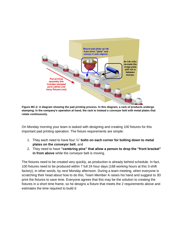

**Figure MC-2: A diagram showing the pad printing process. In this diagram, a rack of products undergo stamping. In the company's operation at hand, the rack is instead a conveyor belt with metal plates that rotate continuously.**

On Monday morning your team is tasked with designing and creating 100 fixtures for this important pad printing operation. The fixture requirements are simple:

- 1. They each need to have four ¼" **bolts on each corner for bolting down to metal plates on the conveyor belt**, and
- 2. They need to have **"centering pins" that allow a person to drop the "front bracket" in from above** while the conveyor belt is moving.

The fixtures need to be created very quickly, as production is already behind schedule. In fact, 100 fixtures need to be produced within 7 full 24 hour days (168 working hours at this 3-shift factory), in other words, by *next* Monday afternoon. During a team meeting, when everyone is scratching their head about how to do this, Team Member A raises his hand and suggest to 3D print the fixtures to save time. Everyone agrees that this may be the solution to creating the fixtures in a short time frame, so he designs a fixture that meets the 2 requirements above and estimates the time required to build it: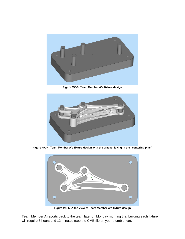

**Figure MC-3: Team Member A's fixture design**



**Figure MC-4: Team Member A's fixture design with the bracket laying in the "centering pins"**



**Figure MC-5: A top view of Team Member A's fixture design**

Team Member A reports back to the team later on Monday morning that building each fixture will require 6 hours and 12 minutes (see the CMB file on your thumb drive).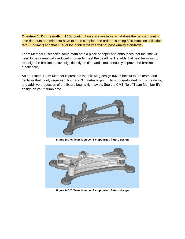**Question 1: Do the math**… if 168 printing hours are available, what does the per-part printing time (in hours and minutes) have to be to complete the order assuming 80% machine utilization rate ("up-time") and that 10% of the printed fixtures will not pass quality standards?

Team Member B scribbles some math onto a piece of paper and announces that the time will need to be dramatically reduced in order to meet the deadline. He adds that he'd be willing to redesign the bracket to save significantly on time and simultaneously improve the bracket's functionality.

An hour later, Team Member B presents the following design (MC-6 below) to the team, and declares that it only requires 1 hour and 3 minutes to print. He is congratulated for his creativity, and additive production of the fixture begins right away. See the CMB file of Team Member B's design on your thumb drive.



**Figure MC-6: Team Member B's optimized fixture design**



**Figure MC-7: Team Member B's optimized fixture design**